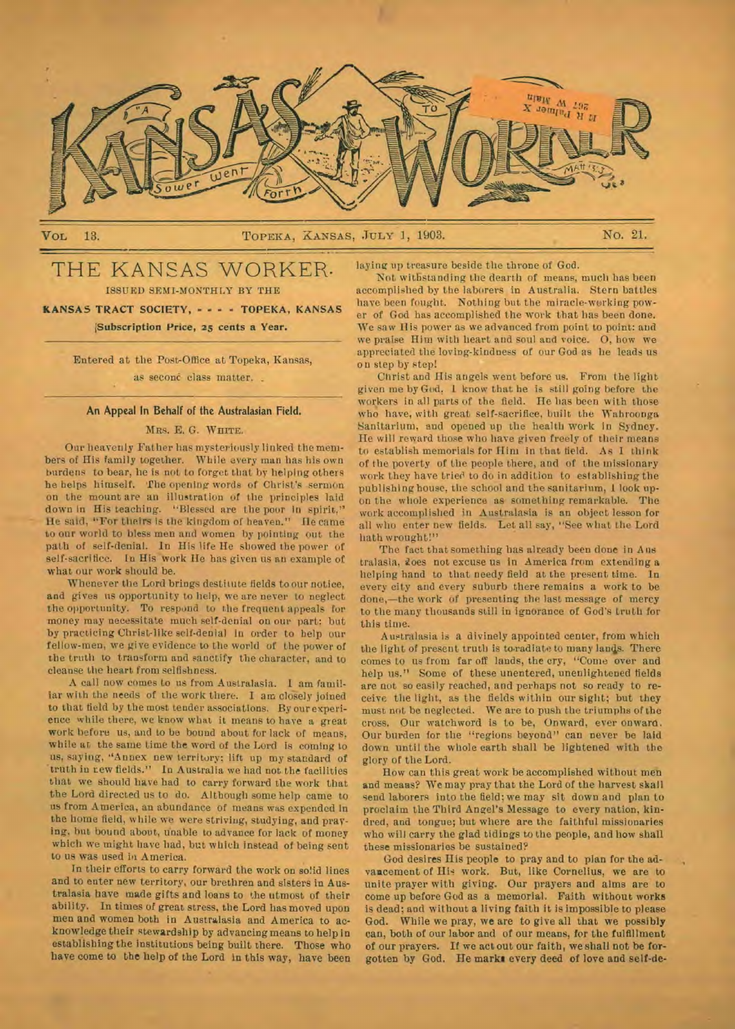

# VOL 13. NO. 21. TOPEKA, XANSAS, JULY 1, 1903. NO. 21.

# THE KANSAS WORKER. ISSUED SEMI-MONTHLY BY THE

**KANSAS TRACT SOCIETY, — - - TOPEKA, KANSAS 'Subscription Price, 25 cents a Year.** 

> Entered at the Post-Office at Topeka, Kansas, as second class matter.

## An Appeal In Behalf of the Australasian Field.

# MRS. E. G. WHITE.

Our heavenly Father has mysteriously linked the members of His family together. While every man has his own burdens to bear, he is not to forget that by helping others he helps himself. The opening words of Christ's sermon on the mount are an illustration of the principles laid down in His teaching. "Blessed are the poor in spirit," He said, "For theirs is the kingdom of heaven." Ile came to our world to bless men and women by pointing out the path of self-denial. In His life He showed the power of self-sacrifice. In His work He has given us an example of what our work should be.

Whenever the Lord brings destitute fields to our notice, and gives us opportunity to help, we are never to neglect the opportunity. To respond to the frequent appeals for money may necessitate much self-denial on our part; but by practicing Christ-like self-denial in order to help our fellow-men, we give evidence to the world of the power of the truth to transform and sanctify the character, and to cleanse the heart from selfishness.

A call now comes to us from Australasia. **I** am familiar with the needs of the work there. I am closely joined to that field by the most tender associations. By our experience while there, we know what it means to have a great work before us, and to be bound about for lack of means, while at the same time the word of the Lord is coming to us, saying, "Annex new territory; lift up my standard of truth in tew fields." In Australia we had not the facilities that we should have had to carry forward the work that the Lord directed us to do. Although some help came to us from America, an abundance of means was expended In the home field, while we were striving, studying, and praying, but bound about, unable to advance for lack of money which we might have had, but which instead of being sent to us was used in America.

In their efforts to carry forward the work on solid lines and to enter new territory, our brethren and sisters in Australasia have made gifts and loans to the utmost of their ability. In times of great stress, the Lord has moved upon men and women both in Australasia and America to acknowledge their stewardship by advancing means to help in establishing the institutions being built there. Those who have come to the help of the Lord in this way, have been

laying up treasure beside the throne of God.

Not withstanding the dearth of means, much has been accomplished by the laborers in Australia. Stern battles have been fought. Nothing but the miracle-working power of God has accomplished the work that has been done. We saw Ilis power as we advanced from point to point: and we praise Him with heart and soul and voice. 0, how we appreciated the loving-kindness of our God as he leads us on step by step!

Christ and His angels went before us. From the light. given me by God, **1** know that he is still going before the workers in all parts of the field. He has been with those who have, with great self-sacrifice, built the Wahroonga Sanitarium, and opened up the health work In Sydney. He will reward those who have given freely of their means to establish memorials for Him in that field. As **1** think of the poverty of the people there, and of the missionary work they have tried to do in addition to establishing the publishing house, the school and the sanitarium, I look upon the whole experience as something remarkable. The work accomplished in Australasia is an object lesson for all who enter new fields. Let all say, "See what the Lord hath wrought!"

The fact that something has already been done in Aus tralasia, does not excuse us in America from extending a helping hand to that needy field at the present time. In every city and every suburb there remains a work to be done,—the work of presenting the last message of mercy to the many thousands still in ignorance of God's truth for this time.

Australasia is a divinely appointed center, from which the light of present truth is to radiate to many lands. There comes to us from far off lands, the cry, "Come over and help us." Some of these unentered, unenlightened fields are not so easily reached, and perhaps not so ready to receive the light, as the fields within our sight; but they must not be neglected. We are to push the triumphs of the cross. Our watchword is to be, Onward, ever onward. Our burden for the "regions beyond" can never be laid down until the whole earth shall be lightened with the glory of the Lord.

How can this great work be accomplished without men and means? We may pray that the Lord of the harvest skall send laborers into the **field;** we may sit down and plan to proclaim the Third Angel's Message to every nation, kindred, and tongue; but where are the faithful missionaries who will carry the glad tidings to the people, and how shall these missionaries be sustained?

God desires His people to pray and to plan for the advancement of Hie work. But, like Cornelius, we are to unite prayer with *giving.* Our prayers and alms are to come up before God as a memorial. Faith without works is dead; and without a living faith it is impossible to please God. While we pray, we are to give all that we possibly can, both of our labor and of our means, for the fulfillment of our prayers. If we act out our faith, we shall not be **forgotten** by God. He **marks every deed of love and self-de-**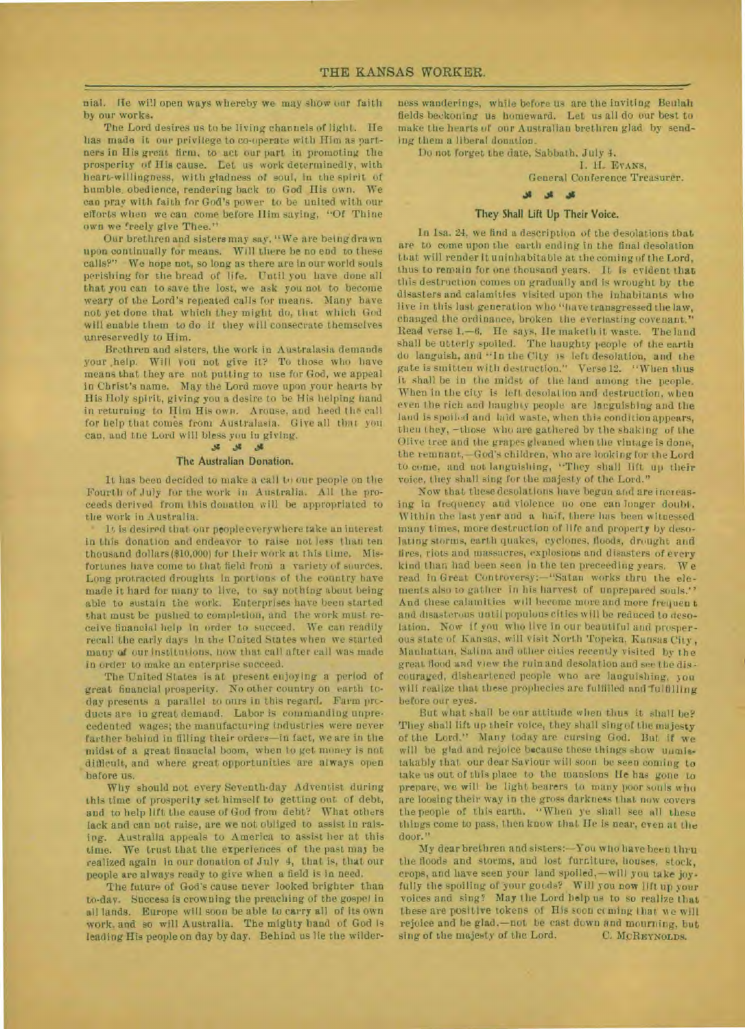nial. He will open ways whereby we may show our faith by our works.

The Lord desires us to be living channels of light. Ile has made it our privilege to co-operate with Him as partners in His great firm, to act our part in promoting the prosperity of His cause. Let us work determinedly, with heart-willingness, with gladness of soul, in the spirit of humble. obedience, rendering back to God His own. We can pray with faith for God's power to be united with our efforts when we can come before Him saying, "Of Thine own we freely give Thee."

Our brethren and sisters may say, "We are being drawn upon continually for means. Will there be no end to these calls?" We hope not, so long as there are in our world souls perishing for the bread of life. Until you have done all that you can to save the lost, we ask you not to become weary of the Lord's repeated calls for means. Many have not yet done that which they might do, that which God will enable them to do if they will consecrate themselves unreservedly to Him.

Brethren and sisters, the work in Australasia demands your help. Will you not give it? To those who have means that they are not putting to use for God, we appeal in Christ's name. May the Lord move upon your hearts by Bis Holy spirit, giving you a desire to be His helping hand in returning to Him His own. Arouse, and heed the call for help that comes from Australasia. Give all that you can, and the Lord will bless you in giving.

#### **.ts .0**

## **The Australian Donation.**

It has been decided to make a call to our people on the Fourth of July fur the work in Australia. All the proceeds derived from this donation will be appropriated to the work in Australia.

It is desired that our people everywhere take an interest in this donation and endeavor to raise not less than ten thousand dollars (\$10,000) for their work at this time. Misfortunes have come to that field from a variety of sources. Long protracted droughts in portions of the country have made it hard for many to live, to say nothing about being able to sustain the work. Euterprises have been started that must be pushed to completion, and the work must receive financial help in order to succeed. We can readily recall the early days in the United States when we started many of our institutions, how that call after call was made in order to make an enterprise succeed.

The United States is at present enjoying a period of great financial prosperity. No other country on earth today presents a parallel to ours in this regard. Farm products are in great demand. Labor is commanding unprecedented wages; the manufacturing industries were never farther behind in filling their orders—in fact, we are **in** the midst of a great financial boom, when to get money is not difficult, and where great opportunities are always open before us.

Why should not every Seventh•day Adventist during this time of prosperity set himself to getting out of debt, and to help lift the cause of God from debt? What others lack and can not raise, are we not obliged to assist in raising. Australia appeals to America to assist her at this time. We trust that the experiences of the past may be realized again in our donation of July 4, that is, that our people are always ready to give when a field is in need.

The future of God's cause never looked brighter than to-day. Success is crowning the preaching of the gospel in all lands. Europe will soon be able to carry all of its own work, and so will Australia. The mighty hand of God is leading His people on day by day. Behind us lie the wilderness wanderings, while before us are the inviting Beulah fields beekoning us homeward. Let us all do our best to make the hearts of our Australian brethren glad by sending them a liberal donation.

Du not forget the date, Sabbath, July 4.

I. EvANS, General Conference Treasurer.

# کل کل گل

## **They Shall Lift Up Their Voice.**

**I**n Isa. 24, we find a description of the desolations that are to come upon the earth ending in the final desolation that will render it uninhabitable at the coming of the Lord, thus to remain for one thousand years. It is evident that this destruction comes on gradually and is wrought by the disasters and calamities visited upon the inhabitants who live in this last generation who "have transgressed the law, changed the ordinance, broken the everlasting covenant." Read verse 1.-6. He says, Ile maketh it waste. The land shall be utterly spoiled. The haughty people of the earth do languish, and "In the City is left desolation, and the gate is smitten with destruction." Verse 12. "When thus it shall be in the midst of the land among the people. When in the city is left desolation and destruction, when even the rich and haughty people are languishing and the land is spoiled and laid waste, when this condition appears, then they, —those whu are gathered by the shaking of the Olive tree and the grapes gleaned when the vintage is done, the remnant,—God's children, 'who are looking for the Lord to come, and not languishing, "They shall lift up their voice, they shall sing for the majesty of the Lord."

Now that these desolations have begun and are increasing in frequency and violence no one can longer doubt. Within the last year and a haif, there has been witnessed many times, more destruction of life and property by desolating storms, earth quakes, cyclones, floods, drought and fires, riots and massacres, explosions and disasters of every kind than had been seen in the ten preceeding years. We read in Great Controversy:—"Satan works thru the elements also to gather in his harvest of unprepared souls." And these calamities will become more and more frequen t and disasterous until populous cities will be reduced to desolation. Now if you who live in our beautiful and prosperous state of Kansas, will visit North Topeka, Kansas City, Manhattan, Salina and other cities recently visited by the great flood and view the ruin and desolation and see the discouraged, disheartened people who are languishing, you will realize that these prophecies are fulfilled and fulfilling before our eyes.

But what shall be our attitude when thus it shall be? They shall lift up their voice, they shall sing of the majesty of the Lord." Many today are cursing God. But if we will be glad and rejoice because these things show uumistakably that our dear Saviour will soon be seen coming to take us out of this place to the mansions **He** has gone to prepare, we will be light bearers to many poor souls who are loosing their way in the gross darkness that now covers the people of this earth. "When ye shall see all these things come to pass, then know that Ile is near, even at the door."

My dear brethren and sisters:—You who have been thru the floods and storms, and lost furniture, houses, stock, crops, and have seen your land spoiled,—will you take joyfully the spoiling of your goods? Will you now lift up your voices and sing? May the Lord help us to so realize that these are positive tokens of His soon coming that we will rejoice and be glad,—not be cast down and mourning. but sing of the majesty of the Lord. C. MCREYNOLDS.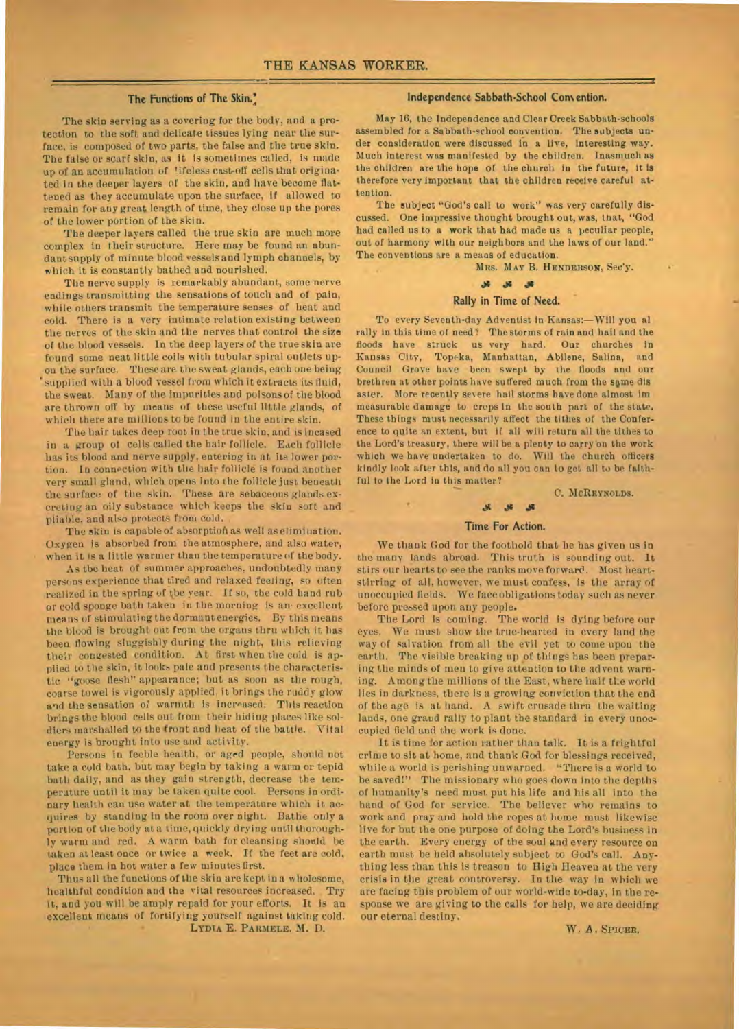## The Functions **of The Skin.:**

The skin serving as a covering for the body, and a protection to the soft and delicate tissues lying near the surface, is composed of two parts, the false and the true skin. The false or scarf skin, as it is sometimes called, is made up of an accumulation of lifeless cast-off cells that originated in the deeper layers of the skin, and have become flattened as they accumulate upon the surface, if allowed to remain for any great length of time, they close up the pores of the lower portion of the skin.

The deeper layers called the true skin are much more complex in their structure. Here may be found an abundant supply of minute blood vessels and lymph channels, by which it is constantly bathed and nourished.

The nerve supply is remarkably abundant, some nerve endings transmitting the sensations of touch and of pain, while others transmit the temperature senses of heat and cold. There is a very intimate relation existing between the nerves of the skin and the nerves that control the size of the blood vessels. In the deep layers of the true skin are found some neat little coils with tubular spiral outlets upon the surface. These are the sweat glands, each one being supplied with a blood vessel from which it extracts its fluid, the sweat. Many of the impurities and poisons of the blood are thrown off by means of these useful little glands, of which there are millions to be found in the entire skin.

The hair takes deep root in the true skin, and is incased in a group of cells called the hair follicle. Each follicle has its blood and nerve supply, entering in at its lower portion. In connection with the hair follicle is found another very small gland, which opens into the follicle just beneath the surface of the skin. These are sebaceous glands excreting an oily substance which keeps the skin sort and pliable, and also protects from cold.

The skin is capable of absorption as well as elimination. Oxygen is absorbed from the atmosphere, and also water, when it is a little warmer than the temperature of the body.

As the heat of summer approaches, undoubtedly many persons experience that tired and relaxed feeling, so often realized in the spring of the year. If so, the cold hand rub or cold sponge bath taken in the morning is an excellent means of stimulating the dormant energies. By this means the blood is brought out from the organs thru which it has been flowing sluggishly during the night, this relieving their congested condition. At first when the cold is applied to the skin, it looks pale and presents the characteristic "goose flesh" appearance; but as soon as the rough, coarse towel is vigorously applied;it brings the ruddy glow and the sensation of warmth is increased. This reaction brings the blood cells out from their hiding places like soldiers marshalled to the front and heat of the battle. Vital energy is brought into use and activity.

Persons in feeble health, or aged people, should not take a cold bath, but may begin by taking a warm or tepid bath daily, and as they gain strength, decrease the temperature until it may be taken quite cool. Persons in ordinary health can use water at the temperature which it acquires by standing in the room over night. Bathe only a portion of the body at a time, quickly drying until thoroughly warm and red. A warm bath for cleansing should be taken at least once or twice a week. If the feet are cold, place them in hot water a few minutes first.

Thus all the functions of the skin are kept in a wholesome, healthful condition **and** the vital resources increased. Try it, and you will be amply repaid for your efforts. It is an excellent means of fortifying yourself against taking cold. LYDIA E. **PARMELE, M.** D.

#### **Independence Sabbath-School Con%ention.**

May 16, the Independence and Clear Creek Sabbath-schools assembled for a Sabbath-school convention. The subjects under consideration were discussed in a live, interesting way. Much interest was manifested by the children. Inasmuch as the children are the hope of the church in the future, it Is therefore very Important that the children receive careful attention.

The subject "God's call to work" was *very* carefully discussed. One Impressive thought brought out, was, that, "God had called us to a work that had made us a peculiar people, out of harmony with our neighbors and the laws of our land." The conventions are a means of education.

**MRS. MAY** B. HENDERsoN, Sec'y.

#### $\begin{array}{ccccc} \mathcal{H} & \mathcal{H} & \mathcal{H} \end{array}$

#### **Rally in Time of Need.**

To every Seventh-day Adventist in Kansas:—Will you al rally in this time of need? The storms of rain and hail and the floods have struck us very hard. Our churches in Kansas City, Topeka, Manhattan, Abilene, Salina, and Council Grove have been swept by the floods and our brethren at other points have suffered much from the same dis aster. More recently severe hail storms have done almost im measurable damage to crops in the south part of the state. These things must necessarily affect the tithes of the Conference to quite an extent, but if all will return all the tithes to the Lord's treasury, there will be a plenty to carry on the work which we have undertaken to do. Will the church officers kindly look after this, and do all you can to get all to be faithful to the Lord in this matter?

**C.** MCREYNOLDS.

# **as**  Time For Action.

We thank God for the foothold that he has given us in the many lands abroad. This truth is sounding out. It stirs our hearts to see the ranks move forward. Most heartstirring of all, however, we must confess, is the array of unoccupied fields. We face obligations today such as never before pressed upon any people.

The Lord is coming. The world is dying before our eyes. We must show the true-hearted in every land the way of salvation from all the evil yet to come upon the earth. The visible breaking up of things has been preparing the minds of men to give attention to the advent warning. Among the millions of the East, where half tLe world lies in darkness, there is a growing conviction that the end of the age is at hand.  $A$  swift crusade thru the waiting lands, one grand rally to plant the standard in every unoccupied field and the work is done.

It is time for action rather than talk. It is a frightful crime to sit at home, and thank God for blessings received, while a world is perishing unwarned. "There is a world to be saved!" The missionary who goes down into the depths of humanity's need must put his life and his all into the hand of God for service. The believer who remains to work and pray and hold the ropes at home must likewise live for but the one purpose of doing the Lord's business in the earth. Every energy of the soul and every resource on earth must be held absolutely subject to God's call. Anything less than this is treason to High Heaven at the very crisis in the great controversy. In the way in which we are facing this problem of our world-wide to-day, in the response we are giving to the calls for help, we are deciding our eternal destiny.

W. A. SPICER.